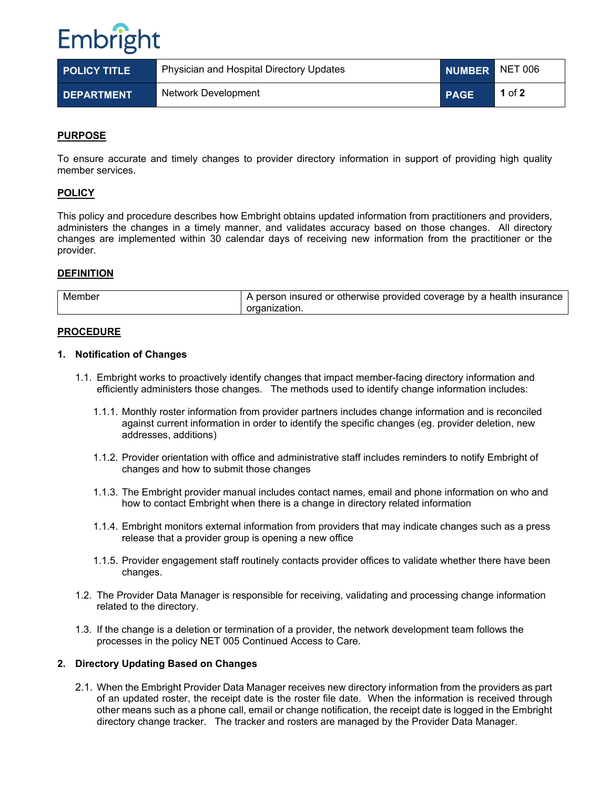

| <b>POLICY TITLE</b> | Physician and Hospital Directory Updates | NUMBER NET 006 |          |
|---------------------|------------------------------------------|----------------|----------|
| <b>DEPARTMENT</b>   | Network Development                      | <b>PAGE</b>    | 1 of $2$ |

# **PURPOSE**

To ensure accurate and timely changes to provider directory information in support of providing high quality member services.

#### **POLICY**

This policy and procedure describes how Embright obtains updated information from practitioners and providers, administers the changes in a timely manner, and validates accuracy based on those changes. All directory changes are implemented within 30 calendar days of receiving new information from the practitioner or the provider.

#### **DEFINITION**

| Member | ι person insured or otherwise provided coverage by a health insurance |
|--------|-----------------------------------------------------------------------|
|        | organization.                                                         |

## **PROCEDURE**

#### **1. Notification of Changes**

- 1.1. Embright works to proactively identify changes that impact member-facing directory information and efficiently administers those changes. The methods used to identify change information includes:
	- 1.1.1. Monthly roster information from provider partners includes change information and is reconciled against current information in order to identify the specific changes (eg. provider deletion, new addresses, additions)
	- 1.1.2. Provider orientation with office and administrative staff includes reminders to notify Embright of changes and how to submit those changes
	- 1.1.3. The Embright provider manual includes contact names, email and phone information on who and how to contact Embright when there is a change in directory related information
	- 1.1.4. Embright monitors external information from providers that may indicate changes such as a press release that a provider group is opening a new office
	- 1.1.5. Provider engagement staff routinely contacts provider offices to validate whether there have been changes.
- 1.2. The Provider Data Manager is responsible for receiving, validating and processing change information related to the directory.
- 1.3. If the change is a deletion or termination of a provider, the network development team follows the processes in the policy NET 005 Continued Access to Care.

#### **2. Directory Updating Based on Changes**

2.1. When the Embright Provider Data Manager receives new directory information from the providers as part of an updated roster, the receipt date is the roster file date. When the information is received through other means such as a phone call, email or change notification, the receipt date is logged in the Embright directory change tracker. The tracker and rosters are managed by the Provider Data Manager.